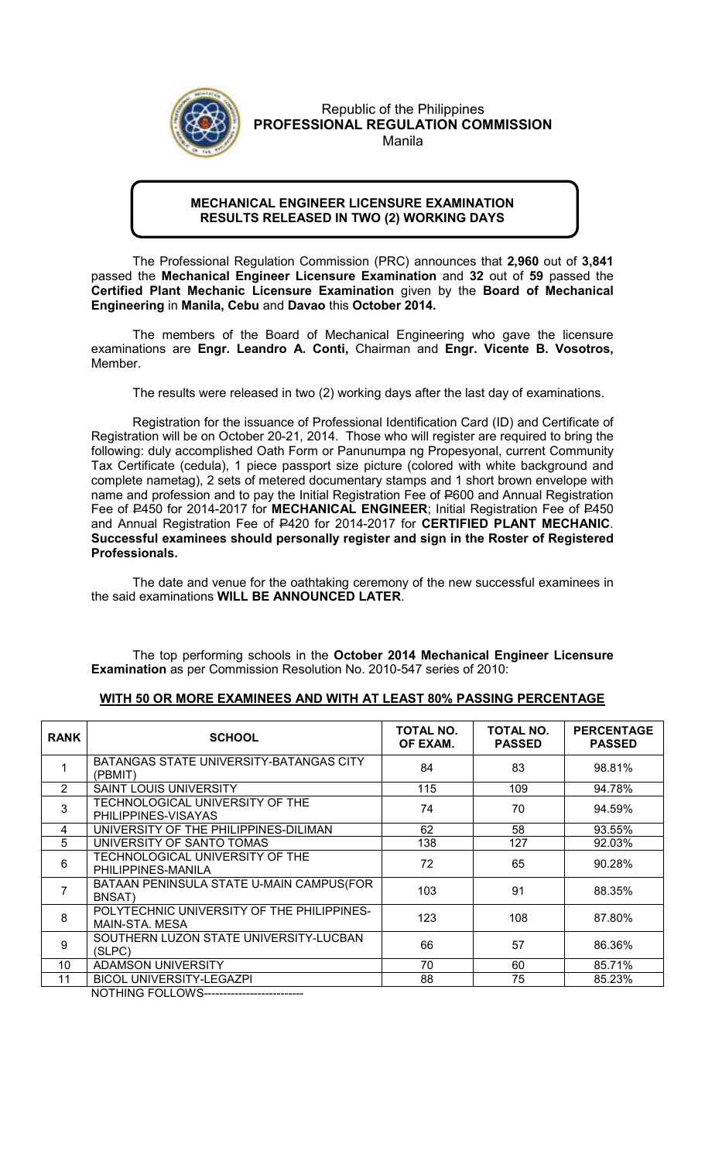

## Republic of the Philippines PROFESSIONAL REGULATION COMMISSION Manila

## MECHANICAL ENGINEER LICENSURE EXAMINATION RESULTS RELEASED IN TWO (2) WORKING DAYS

The Professional Regulation Commission (PRC) announces that 2,960 out of 3,841 passed the Mechanical Engineer Licensure Examination and 32 out of 59 passed the Certified Plant Mechanic Licensure Examination given by the Board of Mechanical Engineering in Manila, Cebu and Davao this October 2014.

The members of the Board of Mechanical Engineering who gave the licensure examinations are Engr. Leandro A. Conti, Chairman and Engr. Vicente B. Vosotros, Member.

The results were released in two (2) working days after the last day of examinations.

Registration for the issuance of Professional Identification Card (ID) and Certificate of Registration will be on October 20-21, 2014. Those who will register are required to bring the following: duly accomplished Oath Form or Panunumpa ng Propesyonal, current Community Tax Certificate (cedula), 1 piece passport size picture (colored with white background and complete nametag), 2 sets of metered documentary stamps and 1 short brown envelope with name and profession and to pay the Initial Registration Fee of P600 and Annual Registration Fee of P450 for 2014-2017 for MECHANICAL ENGINEER; Initial Registration Fee of P450 and Annual Registration Fee of P420 for 2014-2017 for CERTIFIED PLANT MECHANIC. Successful examinees should personally register and sign in the Roster of Registered Professionals.

The date and venue for the oathtaking ceremony of the new successful examinees in the said examinations WILL BE ANNOUNCED LATER.

The top performing schools in the October 2014 Mechanical Engineer Licensure Examination as per Commission Resolution No. 2010-547 series of 2010:

## WITH 50 OR MORE EXAMINEES AND WITH AT LEAST 80% PASSING PERCENTAGE

| <b>RANK</b> | <b>SCHOOL</b>                                                      | TOTAL NO.<br>OF EXAM. | TOTAL NO.<br><b>PASSED</b> | <b>PERCENTAGE</b><br><b>PASSED</b> |
|-------------|--------------------------------------------------------------------|-----------------------|----------------------------|------------------------------------|
|             | BATANGAS STATE UNIVERSITY-BATANGAS CITY<br>(PBMIT)                 | 84                    | 83                         | 98.81%                             |
| 2           | <b>SAINT LOUIS UNIVERSITY</b>                                      | 115                   | 109                        | 94.78%                             |
| 3           | TECHNOLOGICAL UNIVERSITY OF THE<br>PHILIPPINES-VISAYAS             | 74                    | 70                         | 94.59%                             |
| 4           | UNIVERSITY OF THE PHILIPPINES-DILIMAN                              | 62                    | 58                         | 93.55%                             |
| 5           | UNIVERSITY OF SANTO TOMAS                                          | 138                   | 127                        | 92.03%                             |
| 6           | TECHNOLOGICAL UNIVERSITY OF THE<br>PHILIPPINES-MANILA              | 72                    | 65                         | 90.28%                             |
|             | BATAAN PENINSULA STATE U-MAIN CAMPUS(FOR<br>BNSAT)                 | 103                   | 91                         | 88.35%                             |
| 8           | POLYTECHNIC UNIVERSITY OF THE PHILIPPINES-<br>MAIN-STA, MESA       | 123                   | 108                        | 87.80%                             |
| 9           | SOUTHERN LUZON STATE UNIVERSITY-LUCBAN<br>(SLPC)                   | 66                    | 57                         | 86.36%                             |
| 10          | <b>ADAMSON UNIVERSITY</b>                                          | 70                    | 60                         | 85.71%                             |
| 11          | <b>BICOL UNIVERSITY-LEGAZPI</b><br>$1.07$ T. $11.10$ T. $0.110$ T. | 88                    | 75                         | 85.23%                             |

NOTHING FOLLOWS--------------------------